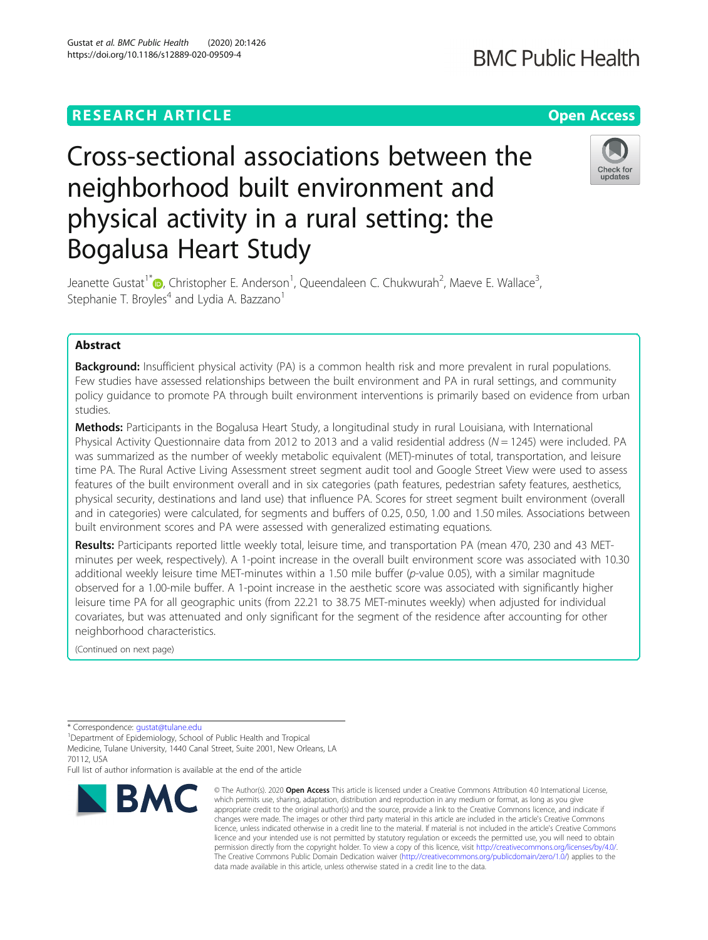# **RESEARCH ARTICLE Example 2014 12:30 The Contract of Contract ACCESS**

# Cross-sectional associations between the neighborhood built environment and physical activity in a rural setting: the Bogalusa Heart Study

Jeanette Gustat<sup>1[\\*](http://orcid.org/0000-0001-5597-1611)</sup> <sub>(</sub>D, Christopher E. Anderson<sup>1</sup>, Queendaleen C. Chukwurah<sup>2</sup>, Maeve E. Wallace<sup>3</sup> , Stephanie T. Broyles<sup>4</sup> and Lydia A. Bazzano<sup>1</sup>

# Abstract

**Background:** Insufficient physical activity (PA) is a common health risk and more prevalent in rural populations. Few studies have assessed relationships between the built environment and PA in rural settings, and community policy guidance to promote PA through built environment interventions is primarily based on evidence from urban studies.

Methods: Participants in the Bogalusa Heart Study, a longitudinal study in rural Louisiana, with International Physical Activity Questionnaire data from 2012 to 2013 and a valid residential address ( $N = 1245$ ) were included. PA was summarized as the number of weekly metabolic equivalent (MET)-minutes of total, transportation, and leisure time PA. The Rural Active Living Assessment street segment audit tool and Google Street View were used to assess features of the built environment overall and in six categories (path features, pedestrian safety features, aesthetics, physical security, destinations and land use) that influence PA. Scores for street segment built environment (overall and in categories) were calculated, for segments and buffers of 0.25, 0.50, 1.00 and 1.50 miles. Associations between built environment scores and PA were assessed with generalized estimating equations.

Results: Participants reported little weekly total, leisure time, and transportation PA (mean 470, 230 and 43 METminutes per week, respectively). A 1-point increase in the overall built environment score was associated with 10.30 additional weekly leisure time MET-minutes within a 1.50 mile buffer (p-value 0.05), with a similar magnitude observed for a 1.00-mile buffer. A 1-point increase in the aesthetic score was associated with significantly higher leisure time PA for all geographic units (from 22.21 to 38.75 MET-minutes weekly) when adjusted for individual covariates, but was attenuated and only significant for the segment of the residence after accounting for other neighborhood characteristics.

(Continued on next page)

**BMC** 

Department of Epidemiology, School of Public Health and Tropical Medicine, Tulane University, 1440 Canal Street, Suite 2001, New Orleans, LA 70112, USA

Full list of author information is available at the end of the article

#### © The Author(s), 2020 **Open Access** This article is licensed under a Creative Commons Attribution 4.0 International License, which permits use, sharing, adaptation, distribution and reproduction in any medium or format, as long as you give appropriate credit to the original author(s) and the source, provide a link to the Creative Commons licence, and indicate if changes were made. The images or other third party material in this article are included in the article's Creative Commons licence, unless indicated otherwise in a credit line to the material. If material is not included in the article's Creative Commons licence and your intended use is not permitted by statutory regulation or exceeds the permitted use, you will need to obtain permission directly from the copyright holder. To view a copy of this licence, visit [http://creativecommons.org/licenses/by/4.0/.](http://creativecommons.org/licenses/by/4.0/) The Creative Commons Public Domain Dedication waiver [\(http://creativecommons.org/publicdomain/zero/1.0/](http://creativecommons.org/publicdomain/zero/1.0/)) applies to the data made available in this article, unless otherwise stated in a credit line to the data.

Gustat et al. BMC Public Health (2020) 20:1426 https://doi.org/10.1186/s12889-020-09509-4





<sup>\*</sup> Correspondence: [gustat@tulane.edu](mailto:gustat@tulane.edu) <sup>1</sup>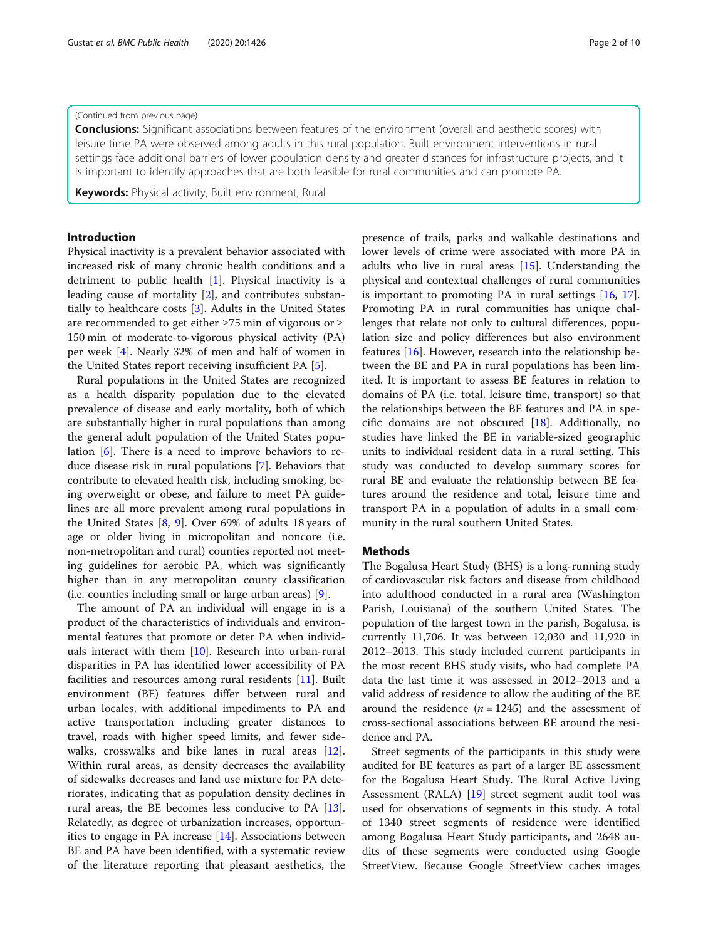#### (Continued from previous page)

**Conclusions:** Significant associations between features of the environment (overall and aesthetic scores) with leisure time PA were observed among adults in this rural population. Built environment interventions in rural settings face additional barriers of lower population density and greater distances for infrastructure projects, and it is important to identify approaches that are both feasible for rural communities and can promote PA.

Keywords: Physical activity, Built environment, Rural

## Introduction

Physical inactivity is a prevalent behavior associated with increased risk of many chronic health conditions and a detriment to public health [\[1\]](#page-8-0). Physical inactivity is a leading cause of mortality [[2\]](#page-8-0), and contributes substantially to healthcare costs [[3\]](#page-8-0). Adults in the United States are recommended to get either ≥75 min of vigorous or ≥ 150 min of moderate-to-vigorous physical activity (PA) per week [\[4](#page-8-0)]. Nearly 32% of men and half of women in the United States report receiving insufficient PA [[5\]](#page-8-0).

Rural populations in the United States are recognized as a health disparity population due to the elevated prevalence of disease and early mortality, both of which are substantially higher in rural populations than among the general adult population of the United States population [\[6](#page-8-0)]. There is a need to improve behaviors to reduce disease risk in rural populations [\[7\]](#page-8-0). Behaviors that contribute to elevated health risk, including smoking, being overweight or obese, and failure to meet PA guidelines are all more prevalent among rural populations in the United States  $[8, 9]$  $[8, 9]$  $[8, 9]$  $[8, 9]$ . Over 69% of adults 18 years of age or older living in micropolitan and noncore (i.e. non-metropolitan and rural) counties reported not meeting guidelines for aerobic PA, which was significantly higher than in any metropolitan county classification (i.e. counties including small or large urban areas) [[9\]](#page-8-0).

The amount of PA an individual will engage in is a product of the characteristics of individuals and environmental features that promote or deter PA when individuals interact with them [[10\]](#page-8-0). Research into urban-rural disparities in PA has identified lower accessibility of PA facilities and resources among rural residents [\[11](#page-9-0)]. Built environment (BE) features differ between rural and urban locales, with additional impediments to PA and active transportation including greater distances to travel, roads with higher speed limits, and fewer sidewalks, crosswalks and bike lanes in rural areas [\[12](#page-9-0)]. Within rural areas, as density decreases the availability of sidewalks decreases and land use mixture for PA deteriorates, indicating that as population density declines in rural areas, the BE becomes less conducive to PA [\[13](#page-9-0)]. Relatedly, as degree of urbanization increases, opportunities to engage in PA increase [\[14](#page-9-0)]. Associations between BE and PA have been identified, with a systematic review of the literature reporting that pleasant aesthetics, the presence of trails, parks and walkable destinations and lower levels of crime were associated with more PA in adults who live in rural areas [[15](#page-9-0)]. Understanding the physical and contextual challenges of rural communities is important to promoting PA in rural settings [[16,](#page-9-0) [17](#page-9-0)]. Promoting PA in rural communities has unique challenges that relate not only to cultural differences, population size and policy differences but also environment features [[16\]](#page-9-0). However, research into the relationship between the BE and PA in rural populations has been limited. It is important to assess BE features in relation to domains of PA (i.e. total, leisure time, transport) so that the relationships between the BE features and PA in specific domains are not obscured [[18\]](#page-9-0). Additionally, no studies have linked the BE in variable-sized geographic units to individual resident data in a rural setting. This study was conducted to develop summary scores for rural BE and evaluate the relationship between BE features around the residence and total, leisure time and transport PA in a population of adults in a small community in the rural southern United States.

#### Methods

The Bogalusa Heart Study (BHS) is a long-running study of cardiovascular risk factors and disease from childhood into adulthood conducted in a rural area (Washington Parish, Louisiana) of the southern United States. The population of the largest town in the parish, Bogalusa, is currently 11,706. It was between 12,030 and 11,920 in 2012–2013. This study included current participants in the most recent BHS study visits, who had complete PA data the last time it was assessed in 2012–2013 and a valid address of residence to allow the auditing of the BE around the residence  $(n = 1245)$  and the assessment of cross-sectional associations between BE around the residence and PA.

Street segments of the participants in this study were audited for BE features as part of a larger BE assessment for the Bogalusa Heart Study. The Rural Active Living Assessment (RALA) [[19\]](#page-9-0) street segment audit tool was used for observations of segments in this study. A total of 1340 street segments of residence were identified among Bogalusa Heart Study participants, and 2648 audits of these segments were conducted using Google StreetView. Because Google StreetView caches images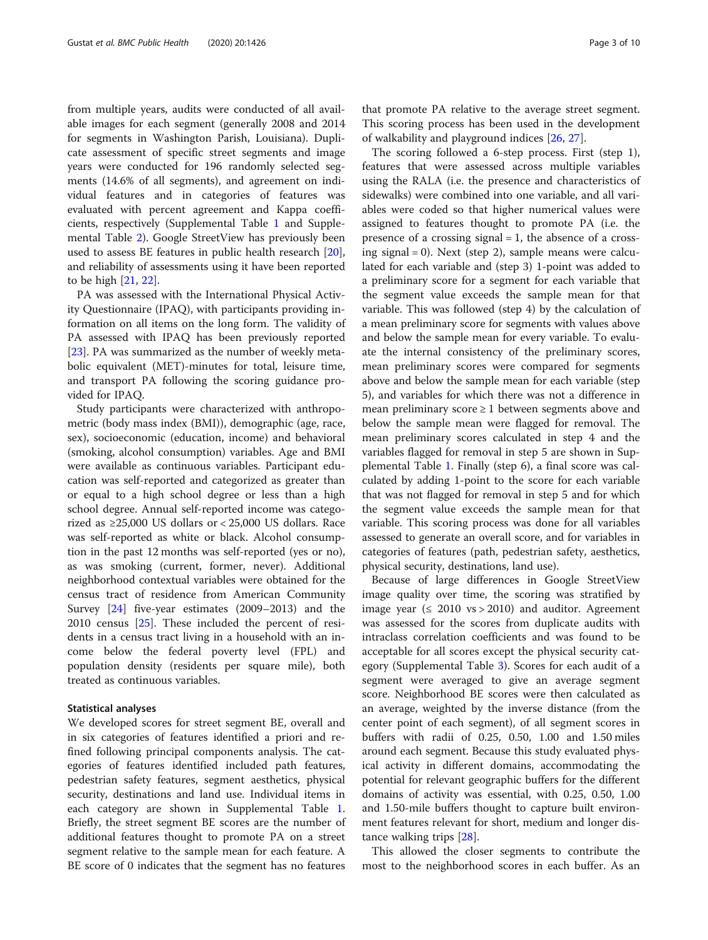from multiple years, audits were conducted of all available images for each segment (generally 2008 and 2014 for segments in Washington Parish, Louisiana). Duplicate assessment of specific street segments and image years were conducted for 196 randomly selected segments (14.6% of all segments), and agreement on individual features and in categories of features was evaluated with percent agreement and Kappa coefficients, respectively (Supplemental Table [1](#page-8-0) and Supplemental Table [2\)](#page-8-0). Google StreetView has previously been used to assess BE features in public health research [\[20](#page-9-0)], and reliability of assessments using it have been reported to be high [\[21](#page-9-0), [22](#page-9-0)].

PA was assessed with the International Physical Activity Questionnaire (IPAQ), with participants providing information on all items on the long form. The validity of PA assessed with IPAQ has been previously reported [[23\]](#page-9-0). PA was summarized as the number of weekly metabolic equivalent (MET)-minutes for total, leisure time, and transport PA following the scoring guidance provided for IPAQ.

Study participants were characterized with anthropometric (body mass index (BMI)), demographic (age, race, sex), socioeconomic (education, income) and behavioral (smoking, alcohol consumption) variables. Age and BMI were available as continuous variables. Participant education was self-reported and categorized as greater than or equal to a high school degree or less than a high school degree. Annual self-reported income was categorized as ≥25,000 US dollars or < 25,000 US dollars. Race was self-reported as white or black. Alcohol consumption in the past 12 months was self-reported (yes or no), as was smoking (current, former, never). Additional neighborhood contextual variables were obtained for the census tract of residence from American Community Survey [[24](#page-9-0)] five-year estimates (2009–2013) and the 2010 census [[25](#page-9-0)]. These included the percent of residents in a census tract living in a household with an income below the federal poverty level (FPL) and population density (residents per square mile), both treated as continuous variables.

#### Statistical analyses

We developed scores for street segment BE, overall and in six categories of features identified a priori and refined following principal components analysis. The categories of features identified included path features, pedestrian safety features, segment aesthetics, physical security, destinations and land use. Individual items in each category are shown in Supplemental Table [1](#page-8-0). Briefly, the street segment BE scores are the number of additional features thought to promote PA on a street segment relative to the sample mean for each feature. A BE score of 0 indicates that the segment has no features

that promote PA relative to the average street segment. This scoring process has been used in the development of walkability and playground indices [\[26](#page-9-0), [27](#page-9-0)].

The scoring followed a 6-step process. First (step 1), features that were assessed across multiple variables using the RALA (i.e. the presence and characteristics of sidewalks) were combined into one variable, and all variables were coded so that higher numerical values were assigned to features thought to promote PA (i.e. the presence of a crossing signal = 1, the absence of a crossing signal = 0). Next (step 2), sample means were calculated for each variable and (step 3) 1-point was added to a preliminary score for a segment for each variable that the segment value exceeds the sample mean for that variable. This was followed (step 4) by the calculation of a mean preliminary score for segments with values above and below the sample mean for every variable. To evaluate the internal consistency of the preliminary scores, mean preliminary scores were compared for segments above and below the sample mean for each variable (step 5), and variables for which there was not a difference in mean preliminary score  $\geq 1$  between segments above and below the sample mean were flagged for removal. The mean preliminary scores calculated in step 4 and the variables flagged for removal in step 5 are shown in Supplemental Table [1.](#page-8-0) Finally (step 6), a final score was calculated by adding 1-point to the score for each variable that was not flagged for removal in step 5 and for which the segment value exceeds the sample mean for that variable. This scoring process was done for all variables assessed to generate an overall score, and for variables in categories of features (path, pedestrian safety, aesthetics, physical security, destinations, land use).

Because of large differences in Google StreetView image quality over time, the scoring was stratified by image year ( $\leq 2010$  vs > 2010) and auditor. Agreement was assessed for the scores from duplicate audits with intraclass correlation coefficients and was found to be acceptable for all scores except the physical security category (Supplemental Table [3\)](#page-8-0). Scores for each audit of a segment were averaged to give an average segment score. Neighborhood BE scores were then calculated as an average, weighted by the inverse distance (from the center point of each segment), of all segment scores in buffers with radii of 0.25, 0.50, 1.00 and 1.50 miles around each segment. Because this study evaluated physical activity in different domains, accommodating the potential for relevant geographic buffers for the different domains of activity was essential, with 0.25, 0.50, 1.00 and 1.50-mile buffers thought to capture built environment features relevant for short, medium and longer distance walking trips [\[28](#page-9-0)].

This allowed the closer segments to contribute the most to the neighborhood scores in each buffer. As an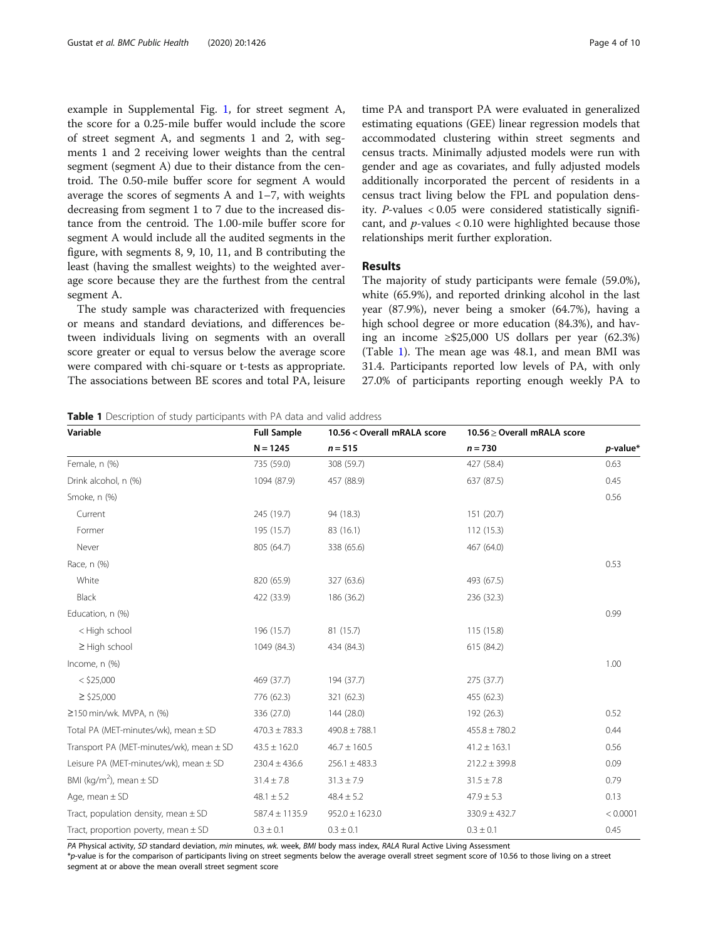example in Supplemental Fig. [1](#page-8-0), for street segment A, the score for a 0.25-mile buffer would include the score of street segment A, and segments 1 and 2, with segments 1 and 2 receiving lower weights than the central segment (segment A) due to their distance from the centroid. The 0.50-mile buffer score for segment A would average the scores of segments A and 1–7, with weights decreasing from segment 1 to 7 due to the increased distance from the centroid. The 1.00-mile buffer score for segment A would include all the audited segments in the figure, with segments 8, 9, 10, 11, and B contributing the least (having the smallest weights) to the weighted average score because they are the furthest from the central segment A.

The study sample was characterized with frequencies or means and standard deviations, and differences between individuals living on segments with an overall score greater or equal to versus below the average score were compared with chi-square or t-tests as appropriate. The associations between BE scores and total PA, leisure time PA and transport PA were evaluated in generalized estimating equations (GEE) linear regression models that accommodated clustering within street segments and census tracts. Minimally adjusted models were run with gender and age as covariates, and fully adjusted models additionally incorporated the percent of residents in a census tract living below the FPL and population density. P-values < 0.05 were considered statistically significant, and  $p$ -values < 0.10 were highlighted because those relationships merit further exploration.

# Results

The majority of study participants were female (59.0%), white (65.9%), and reported drinking alcohol in the last year (87.9%), never being a smoker (64.7%), having a high school degree or more education (84.3%), and having an income ≥\$25,000 US dollars per year (62.3%) (Table 1). The mean age was 48.1, and mean BMI was 31.4. Participants reported low levels of PA, with only 27.0% of participants reporting enough weekly PA to

| Variable                                     | <b>Full Sample</b> | 10.56 < Overall mRALA score | 10.56 ≥ Overall mRALA score |          |
|----------------------------------------------|--------------------|-----------------------------|-----------------------------|----------|
|                                              | $N = 1245$         | $n = 515$                   | $n = 730$                   | p-value* |
| Female, n (%)                                | 735 (59.0)         | 308 (59.7)                  | 427 (58.4)                  | 0.63     |
| Drink alcohol, n (%)                         | 1094 (87.9)        | 457 (88.9)                  | 637 (87.5)                  | 0.45     |
| Smoke, n (%)                                 |                    |                             |                             | 0.56     |
| Current                                      | 245 (19.7)         | 94 (18.3)                   | 151 (20.7)                  |          |
| Former                                       | 195 (15.7)         | 83 (16.1)                   | 112(15.3)                   |          |
| Never                                        | 805 (64.7)         | 338 (65.6)                  | 467 (64.0)                  |          |
| Race, n (%)                                  |                    |                             |                             | 0.53     |
| White                                        | 820 (65.9)         | 327 (63.6)                  | 493 (67.5)                  |          |
| Black                                        | 422 (33.9)         | 186 (36.2)                  | 236 (32.3)                  |          |
| Education, n (%)                             |                    |                             |                             | 0.99     |
| < High school                                | 196 (15.7)         | 81 (15.7)                   | 115 (15.8)                  |          |
| $\geq$ High school                           | 1049 (84.3)        | 434 (84.3)                  | 615 (84.2)                  |          |
| Income, n (%)                                |                    |                             |                             | 1.00     |
| $<$ \$25,000                                 | 469 (37.7)         | 194 (37.7)                  | 275 (37.7)                  |          |
| $\ge$ \$25,000                               | 776 (62.3)         | 321 (62.3)                  | 455 (62.3)                  |          |
| $\geq$ 150 min/wk. MVPA, n (%)               | 336 (27.0)         | 144 (28.0)                  | 192 (26.3)                  | 0.52     |
| Total PA (MET-minutes/wk), mean ± SD         | $470.3 \pm 783.3$  | $490.8 \pm 788.1$           | $455.8 \pm 780.2$           | 0.44     |
| Transport PA (MET-minutes/wk), mean $\pm$ SD | $43.5 \pm 162.0$   | $46.7 \pm 160.5$            | $41.2 \pm 163.1$            | 0.56     |
| Leisure PA (MET-minutes/wk), mean ± SD       | $230.4 \pm 436.6$  | $256.1 \pm 483.3$           | $212.2 \pm 399.8$           | 0.09     |
| BMI (kg/m <sup>2</sup> ), mean $\pm$ SD      | $31.4 \pm 7.8$     | $31.3 \pm 7.9$              | $31.5 \pm 7.8$              | 0.79     |
| Age, mean $\pm$ SD                           | $48.1 \pm 5.2$     | $48.4 \pm 5.2$              | $47.9 \pm 5.3$              | 0.13     |
| Tract, population density, mean $\pm$ SD     | $587.4 \pm 1135.9$ | $952.0 \pm 1623.0$          | $330.9 \pm 432.7$           | < 0.0001 |
| Tract, proportion poverty, mean $\pm$ SD     | $0.3 \pm 0.1$      | $0.3 \pm 0.1$               | $0.3 \pm 0.1$               | 0.45     |

PA Physical activity, SD standard deviation, min minutes, wk. week, BMI body mass index, RALA Rural Active Living Assessment

\*p-value is for the comparison of participants living on street segments below the average overall street segment score of 10.56 to those living on a street segment at or above the mean overall street segment score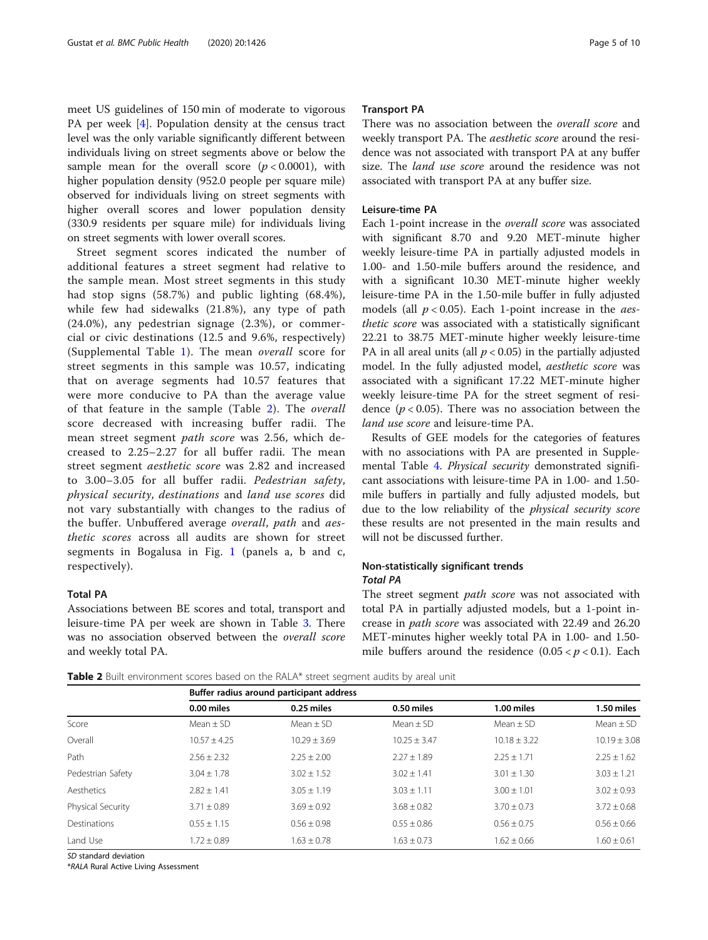meet US guidelines of 150 min of moderate to vigorous PA per week [[4\]](#page-8-0). Population density at the census tract level was the only variable significantly different between individuals living on street segments above or below the sample mean for the overall score  $(p < 0.0001)$ , with higher population density (952.0 people per square mile) observed for individuals living on street segments with higher overall scores and lower population density (330.9 residents per square mile) for individuals living on street segments with lower overall scores.

Street segment scores indicated the number of additional features a street segment had relative to the sample mean. Most street segments in this study had stop signs (58.7%) and public lighting (68.4%), while few had sidewalks (21.8%), any type of path (24.0%), any pedestrian signage (2.3%), or commercial or civic destinations (12.5 and 9.6%, respectively) (Supplemental Table [1](#page-8-0)). The mean overall score for street segments in this sample was 10.57, indicating that on average segments had 10.57 features that were more conducive to PA than the average value of that feature in the sample (Table 2). The overall score decreased with increasing buffer radii. The mean street segment path score was 2.56, which decreased to 2.25–2.27 for all buffer radii. The mean street segment aesthetic score was 2.82 and increased to 3.00–3.05 for all buffer radii. Pedestrian safety, physical security, destinations and land use scores did not vary substantially with changes to the radius of the buffer. Unbuffered average overall, path and aesthetic scores across all audits are shown for street segments in Bogalusa in Fig. [1](#page-5-0) (panels a, b and c, respectively).

#### Total PA

Associations between BE scores and total, transport and leisure-time PA per week are shown in Table [3.](#page-6-0) There was no association observed between the overall score and weekly total PA.

#### Transport PA

There was no association between the overall score and weekly transport PA. The aesthetic score around the residence was not associated with transport PA at any buffer size. The land use score around the residence was not associated with transport PA at any buffer size.

#### Leisure-time PA

Each 1-point increase in the overall score was associated with significant 8.70 and 9.20 MET-minute higher weekly leisure-time PA in partially adjusted models in 1.00- and 1.50-mile buffers around the residence, and with a significant 10.30 MET-minute higher weekly leisure-time PA in the 1.50-mile buffer in fully adjusted models (all  $p < 0.05$ ). Each 1-point increase in the *aes*thetic score was associated with a statistically significant 22.21 to 38.75 MET-minute higher weekly leisure-time PA in all areal units (all  $p < 0.05$ ) in the partially adjusted model. In the fully adjusted model, aesthetic score was associated with a significant 17.22 MET-minute higher weekly leisure-time PA for the street segment of residence ( $p < 0.05$ ). There was no association between the land use score and leisure-time PA.

Results of GEE models for the categories of features with no associations with PA are presented in Supplemental Table [4.](#page-8-0) Physical security demonstrated significant associations with leisure-time PA in 1.00- and 1.50 mile buffers in partially and fully adjusted models, but due to the low reliability of the physical security score these results are not presented in the main results and will not be discussed further.

### Non-statistically significant trends Total PA

The street segment *path score* was not associated with total PA in partially adjusted models, but a 1-point increase in path score was associated with 22.49 and 26.20 MET-minutes higher weekly total PA in 1.00- and 1.50 mile buffers around the residence  $(0.05 < p < 0.1)$ . Each

**Table 2** Built environment scores based on the RALA\* street segment audits by areal unit

|                     |                 | Buffer radius around participant address |                 |                  |                  |  |  |  |  |
|---------------------|-----------------|------------------------------------------|-----------------|------------------|------------------|--|--|--|--|
|                     | 0.00 miles      | 0.25 miles                               | 0.50 miles      | 1.00 miles       | 1.50 miles       |  |  |  |  |
| Score               | Mean $\pm$ SD   | Mean $\pm$ SD                            | Mean $\pm$ SD   | Mean $\pm$ SD    | Mean $\pm$ SD    |  |  |  |  |
| Overall             | $10.57 + 4.25$  | $10.29 \pm 3.69$                         | $10.25 + 3.47$  | $10.18 \pm 3.22$ | $10.19 \pm 3.08$ |  |  |  |  |
| Path                | $2.56 + 2.32$   | $2.25 \pm 2.00$                          | $2.27 \pm 1.89$ | $2.25 + 1.71$    | $2.25 \pm 1.62$  |  |  |  |  |
| Pedestrian Safety   | $3.04 \pm 1.78$ | $3.02 + 1.52$                            | $3.02 \pm 1.41$ | $3.01 \pm 1.30$  | $3.03 \pm 1.21$  |  |  |  |  |
| Aesthetics          | $2.82 \pm 1.41$ | $3.05 \pm 1.19$                          | $3.03 \pm 1.11$ | $3.00 \pm 1.01$  | $3.02 \pm 0.93$  |  |  |  |  |
| Physical Security   | $3.71 + 0.89$   | $3.69 + 0.92$                            | $3.68 + 0.82$   | $3.70 \pm 0.73$  | $3.72 \pm 0.68$  |  |  |  |  |
| <b>Destinations</b> | $0.55 + 1.15$   | $0.56 \pm 0.98$                          | $0.55 + 0.86$   | $0.56 + 0.75$    | $0.56 \pm 0.66$  |  |  |  |  |
| Land Use            | $1.72 \pm 0.89$ | $1.63 + 0.78$                            | $1.63 \pm 0.73$ | $1.62 + 0.66$    | $1.60 \pm 0.61$  |  |  |  |  |

SD standard deviation

\*RALA Rural Active Living Assessment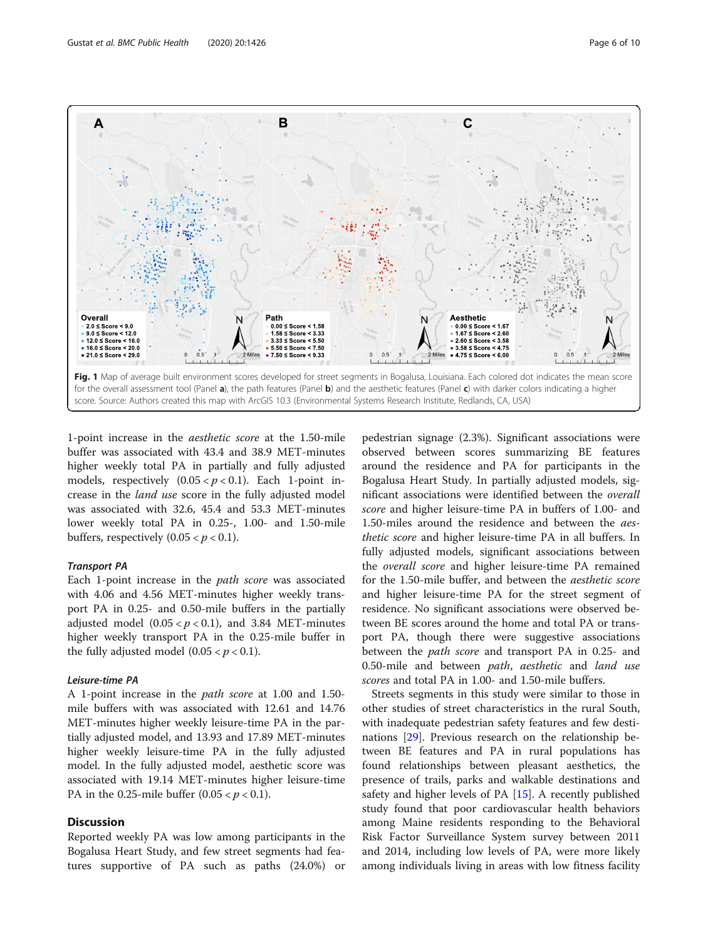<span id="page-5-0"></span>A





1-point increase in the aesthetic score at the 1.50-mile buffer was associated with 43.4 and 38.9 MET-minutes higher weekly total PA in partially and fully adjusted models, respectively  $(0.05 < p < 0.1)$ . Each 1-point increase in the land use score in the fully adjusted model was associated with 32.6, 45.4 and 53.3 MET-minutes lower weekly total PA in 0.25-, 1.00- and 1.50-mile buffers, respectively  $(0.05 < p < 0.1)$ .

#### Transport PA

Each 1-point increase in the path score was associated with 4.06 and 4.56 MET-minutes higher weekly transport PA in 0.25- and 0.50-mile buffers in the partially adjusted model  $(0.05 < p < 0.1)$ , and 3.84 MET-minutes higher weekly transport PA in the 0.25-mile buffer in the fully adjusted model  $(0.05 < p < 0.1)$ .

#### Leisure-time PA

A 1-point increase in the path score at 1.00 and 1.50 mile buffers with was associated with 12.61 and 14.76 MET-minutes higher weekly leisure-time PA in the partially adjusted model, and 13.93 and 17.89 MET-minutes higher weekly leisure-time PA in the fully adjusted model. In the fully adjusted model, aesthetic score was associated with 19.14 MET-minutes higher leisure-time PA in the 0.25-mile buffer  $(0.05 < p < 0.1)$ .

# **Discussion**

Reported weekly PA was low among participants in the Bogalusa Heart Study, and few street segments had features supportive of PA such as paths (24.0%) or

pedestrian signage (2.3%). Significant associations were observed between scores summarizing BE features around the residence and PA for participants in the Bogalusa Heart Study. In partially adjusted models, significant associations were identified between the overall score and higher leisure-time PA in buffers of 1.00- and 1.50-miles around the residence and between the aesthetic score and higher leisure-time PA in all buffers. In fully adjusted models, significant associations between the overall score and higher leisure-time PA remained for the 1.50-mile buffer, and between the aesthetic score and higher leisure-time PA for the street segment of residence. No significant associations were observed between BE scores around the home and total PA or transport PA, though there were suggestive associations between the *path score* and transport PA in 0.25- and 0.50-mile and between path, aesthetic and land use scores and total PA in 1.00- and 1.50-mile buffers.

Streets segments in this study were similar to those in other studies of street characteristics in the rural South, with inadequate pedestrian safety features and few destinations [\[29](#page-9-0)]. Previous research on the relationship between BE features and PA in rural populations has found relationships between pleasant aesthetics, the presence of trails, parks and walkable destinations and safety and higher levels of PA [[15](#page-9-0)]. A recently published study found that poor cardiovascular health behaviors among Maine residents responding to the Behavioral Risk Factor Surveillance System survey between 2011 and 2014, including low levels of PA, were more likely among individuals living in areas with low fitness facility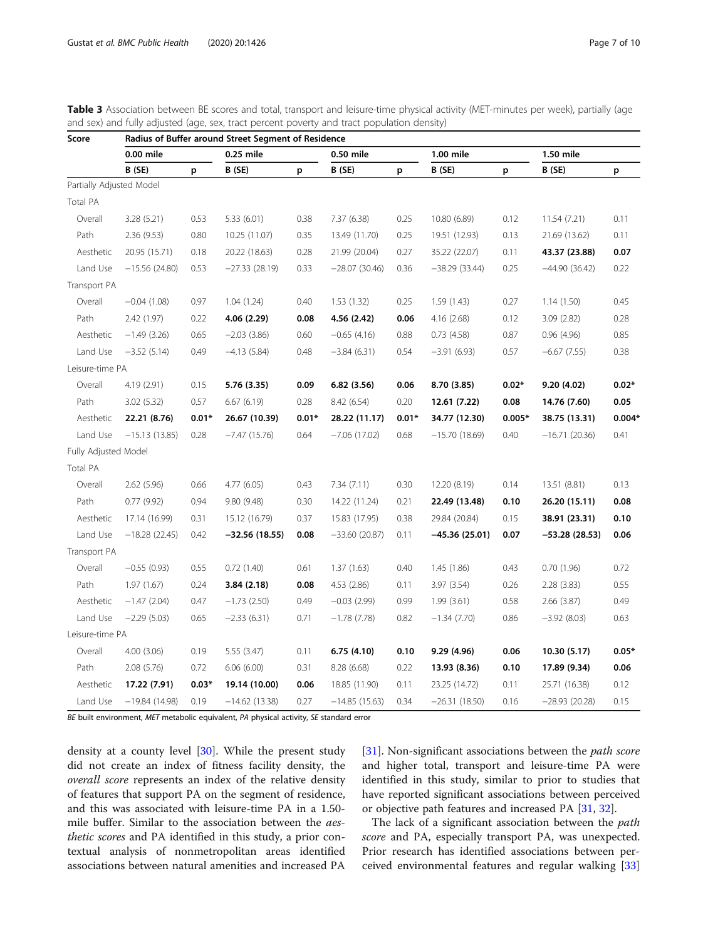| Score                    | Radius of Buffer around Street Segment of Residence |         |                 |         |                 |         |                 |          |                 |          |
|--------------------------|-----------------------------------------------------|---------|-----------------|---------|-----------------|---------|-----------------|----------|-----------------|----------|
|                          | 0.00 mile                                           |         | 0.25 mile       |         | 0.50 mile       |         | 1.00 mile       |          | 1.50 mile       |          |
|                          | B (SE)                                              | p       | B (SE)          | p       | B (SE)          | p       | B (SE)          | p        | B (SE)          | р        |
| Partially Adjusted Model |                                                     |         |                 |         |                 |         |                 |          |                 |          |
| Total PA                 |                                                     |         |                 |         |                 |         |                 |          |                 |          |
| Overall                  | 3.28(5.21)                                          | 0.53    | 5.33(6.01)      | 0.38    | 7.37 (6.38)     | 0.25    | 10.80 (6.89)    | 0.12     | 11.54 (7.21)    | 0.11     |
| Path                     | 2.36(9.53)                                          | 0.80    | 10.25 (11.07)   | 0.35    | 13.49 (11.70)   | 0.25    | 19.51 (12.93)   | 0.13     | 21.69 (13.62)   | 0.11     |
| Aesthetic                | 20.95 (15.71)                                       | 0.18    | 20.22 (18.63)   | 0.28    | 21.99 (20.04)   | 0.27    | 35.22 (22.07)   | 0.11     | 43.37 (23.88)   | 0.07     |
| Land Use                 | $-15.56(24.80)$                                     | 0.53    | $-27.33(28.19)$ | 0.33    | $-28.07(30.46)$ | 0.36    | $-38.29(33.44)$ | 0.25     | $-44.90(36.42)$ | 0.22     |
| Transport PA             |                                                     |         |                 |         |                 |         |                 |          |                 |          |
| Overall                  | $-0.04(1.08)$                                       | 0.97    | 1.04(1.24)      | 0.40    | 1.53(1.32)      | 0.25    | 1.59(1.43)      | 0.27     | 1.14(1.50)      | 0.45     |
| Path                     | 2.42 (1.97)                                         | 0.22    | 4.06(2.29)      | 0.08    | 4.56 (2.42)     | 0.06    | 4.16 (2.68)     | 0.12     | 3.09 (2.82)     | 0.28     |
| Aesthetic                | $-1.49(3.26)$                                       | 0.65    | $-2.03(3.86)$   | 0.60    | $-0.65(4.16)$   | 0.88    | 0.73(4.58)      | 0.87     | 0.96(4.96)      | 0.85     |
| Land Use                 | $-3.52(5.14)$                                       | 0.49    | $-4.13(5.84)$   | 0.48    | $-3.84(6.31)$   | 0.54    | $-3.91(6.93)$   | 0.57     | $-6.67(7.55)$   | 0.38     |
| Leisure-time PA          |                                                     |         |                 |         |                 |         |                 |          |                 |          |
| Overall                  | 4.19 (2.91)                                         | 0.15    | 5.76 (3.35)     | 0.09    | 6.82(3.56)      | 0.06    | 8.70 (3.85)     | $0.02*$  | 9.20 (4.02)     | $0.02*$  |
| Path                     | 3.02(5.32)                                          | 0.57    | 6.67(6.19)      | 0.28    | 8.42 (6.54)     | 0.20    | 12.61 (7.22)    | 0.08     | 14.76 (7.60)    | 0.05     |
| Aesthetic                | 22.21 (8.76)                                        | $0.01*$ | 26.67 (10.39)   | $0.01*$ | 28.22 (11.17)   | $0.01*$ | 34.77 (12.30)   | $0.005*$ | 38.75 (13.31)   | $0.004*$ |
| Land Use                 | $-15.13(13.85)$                                     | 0.28    | $-7.47(15.76)$  | 0.64    | $-7.06(17.02)$  | 0.68    | $-15.70(18.69)$ | 0.40     | $-16.71(20.36)$ | 0.41     |
| Fully Adjusted Model     |                                                     |         |                 |         |                 |         |                 |          |                 |          |
| Total PA                 |                                                     |         |                 |         |                 |         |                 |          |                 |          |
| Overall                  | 2.62(5.96)                                          | 0.66    | 4.77(6.05)      | 0.43    | 7.34(7.11)      | 0.30    | 12.20 (8.19)    | 0.14     | 13.51 (8.81)    | 0.13     |
| Path                     | 0.77(9.92)                                          | 0.94    | 9.80(9.48)      | 0.30    | 14.22 (11.24)   | 0.21    | 22.49 (13.48)   | 0.10     | 26.20 (15.11)   | 0.08     |
| Aesthetic                | 17.14 (16.99)                                       | 0.31    | 15.12 (16.79)   | 0.37    | 15.83 (17.95)   | 0.38    | 29.84 (20.84)   | 0.15     | 38.91 (23.31)   | 0.10     |
| Land Use                 | $-18.28(22.45)$                                     | 0.42    | $-32.56(18.55)$ | 0.08    | $-33.60(20.87)$ | 0.11    | –45.36 (25.01)  | 0.07     | –53.28 (28.53)  | 0.06     |
| Transport PA             |                                                     |         |                 |         |                 |         |                 |          |                 |          |
| Overall                  | $-0.55(0.93)$                                       | 0.55    | 0.72(1.40)      | 0.61    | 1.37(1.63)      | 0.40    | 1.45(1.86)      | 0.43     | 0.70(1.96)      | 0.72     |
| Path                     | 1.97(1.67)                                          | 0.24    | 3.84(2.18)      | 0.08    | 4.53(2.86)      | 0.11    | 3.97 (3.54)     | 0.26     | 2.28(3.83)      | 0.55     |
| Aesthetic                | $-1.47(2.04)$                                       | 0.47    | $-1.73(2.50)$   | 0.49    | $-0.03(2.99)$   | 0.99    | 1.99(3.61)      | 0.58     | 2.66 (3.87)     | 0.49     |
| Land Use                 | $-2.29(5.03)$                                       | 0.65    | $-2.33(6.31)$   | 0.71    | $-1.78(7.78)$   | 0.82    | $-1.34(7.70)$   | 0.86     | $-3.92(8.03)$   | 0.63     |
| Leisure-time PA          |                                                     |         |                 |         |                 |         |                 |          |                 |          |
| Overall                  | 4.00(3.06)                                          | 0.19    | 5.55 (3.47)     | 0.11    | 6.75(4.10)      | 0.10    | 9.29 (4.96)     | 0.06     | 10.30 (5.17)    | $0.05*$  |
| Path                     | 2.08 (5.76)                                         | 0.72    | 6.06(6.00)      | 0.31    | 8.28 (6.68)     | 0.22    | 13.93 (8.36)    | 0.10     | 17.89 (9.34)    | 0.06     |
| Aesthetic                | 17.22 (7.91)                                        | $0.03*$ | 19.14 (10.00)   | 0.06    | 18.85 (11.90)   | 0.11    | 23.25 (14.72)   | 0.11     | 25.71 (16.38)   | 0.12     |
| Land Use                 | $-19.84(14.98)$                                     | 0.19    | $-14.62(13.38)$ | 0.27    | $-14.85(15.63)$ | 0.34    | $-26.31(18.50)$ | 0.16     | $-28.93(20.28)$ | 0.15     |

<span id="page-6-0"></span>Table 3 Association between BE scores and total, transport and leisure-time physical activity (MET-minutes per week), partially (age and sex) and fully adjusted (age, sex, tract percent poverty and tract population density)

BE built environment, MET metabolic equivalent, PA physical activity, SE standard error

density at a county level [[30](#page-9-0)]. While the present study did not create an index of fitness facility density, the overall score represents an index of the relative density of features that support PA on the segment of residence, and this was associated with leisure-time PA in a 1.50 mile buffer. Similar to the association between the aesthetic scores and PA identified in this study, a prior contextual analysis of nonmetropolitan areas identified associations between natural amenities and increased PA [[31\]](#page-9-0). Non-significant associations between the *path score* and higher total, transport and leisure-time PA were identified in this study, similar to prior to studies that have reported significant associations between perceived or objective path features and increased PA [\[31](#page-9-0), [32\]](#page-9-0).

The lack of a significant association between the *path* score and PA, especially transport PA, was unexpected. Prior research has identified associations between perceived environmental features and regular walking [[33](#page-9-0)]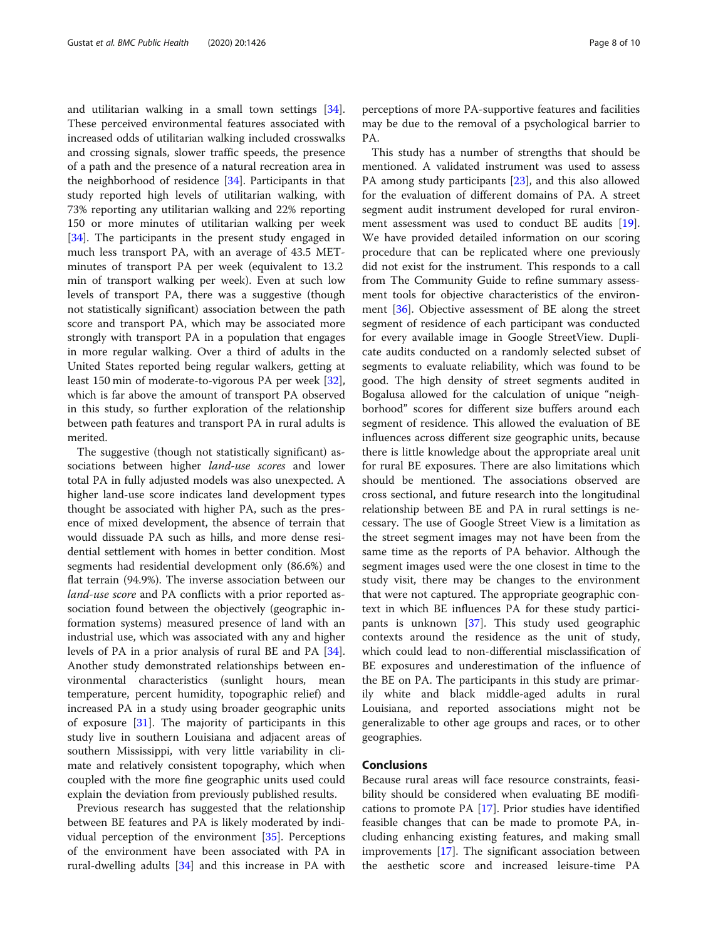and utilitarian walking in a small town settings [\[34](#page-9-0)]. These perceived environmental features associated with increased odds of utilitarian walking included crosswalks and crossing signals, slower traffic speeds, the presence of a path and the presence of a natural recreation area in the neighborhood of residence [[34](#page-9-0)]. Participants in that study reported high levels of utilitarian walking, with 73% reporting any utilitarian walking and 22% reporting 150 or more minutes of utilitarian walking per week [[34\]](#page-9-0). The participants in the present study engaged in much less transport PA, with an average of 43.5 METminutes of transport PA per week (equivalent to 13.2 min of transport walking per week). Even at such low levels of transport PA, there was a suggestive (though not statistically significant) association between the path score and transport PA, which may be associated more strongly with transport PA in a population that engages in more regular walking. Over a third of adults in the United States reported being regular walkers, getting at least 150 min of moderate-to-vigorous PA per week [\[32](#page-9-0)], which is far above the amount of transport PA observed in this study, so further exploration of the relationship between path features and transport PA in rural adults is merited.

The suggestive (though not statistically significant) associations between higher *land-use scores* and lower total PA in fully adjusted models was also unexpected. A higher land-use score indicates land development types thought be associated with higher PA, such as the presence of mixed development, the absence of terrain that would dissuade PA such as hills, and more dense residential settlement with homes in better condition. Most segments had residential development only (86.6%) and flat terrain (94.9%). The inverse association between our land-use score and PA conflicts with a prior reported association found between the objectively (geographic information systems) measured presence of land with an industrial use, which was associated with any and higher levels of PA in a prior analysis of rural BE and PA [\[34](#page-9-0)]. Another study demonstrated relationships between environmental characteristics (sunlight hours, mean temperature, percent humidity, topographic relief) and increased PA in a study using broader geographic units of exposure [\[31\]](#page-9-0). The majority of participants in this study live in southern Louisiana and adjacent areas of southern Mississippi, with very little variability in climate and relatively consistent topography, which when coupled with the more fine geographic units used could explain the deviation from previously published results.

Previous research has suggested that the relationship between BE features and PA is likely moderated by individual perception of the environment [\[35](#page-9-0)]. Perceptions of the environment have been associated with PA in rural-dwelling adults [\[34](#page-9-0)] and this increase in PA with perceptions of more PA-supportive features and facilities may be due to the removal of a psychological barrier to PA.

This study has a number of strengths that should be mentioned. A validated instrument was used to assess PA among study participants [\[23](#page-9-0)], and this also allowed for the evaluation of different domains of PA. A street segment audit instrument developed for rural environment assessment was used to conduct BE audits [\[19](#page-9-0)]. We have provided detailed information on our scoring procedure that can be replicated where one previously did not exist for the instrument. This responds to a call from The Community Guide to refine summary assessment tools for objective characteristics of the environment [\[36](#page-9-0)]. Objective assessment of BE along the street segment of residence of each participant was conducted for every available image in Google StreetView. Duplicate audits conducted on a randomly selected subset of segments to evaluate reliability, which was found to be good. The high density of street segments audited in Bogalusa allowed for the calculation of unique "neighborhood" scores for different size buffers around each segment of residence. This allowed the evaluation of BE influences across different size geographic units, because there is little knowledge about the appropriate areal unit for rural BE exposures. There are also limitations which should be mentioned. The associations observed are cross sectional, and future research into the longitudinal relationship between BE and PA in rural settings is necessary. The use of Google Street View is a limitation as the street segment images may not have been from the same time as the reports of PA behavior. Although the segment images used were the one closest in time to the study visit, there may be changes to the environment that were not captured. The appropriate geographic context in which BE influences PA for these study participants is unknown [\[37\]](#page-9-0). This study used geographic contexts around the residence as the unit of study, which could lead to non-differential misclassification of BE exposures and underestimation of the influence of the BE on PA. The participants in this study are primarily white and black middle-aged adults in rural Louisiana, and reported associations might not be generalizable to other age groups and races, or to other geographies.

# Conclusions

Because rural areas will face resource constraints, feasibility should be considered when evaluating BE modifications to promote PA  $[17]$  $[17]$ . Prior studies have identified feasible changes that can be made to promote PA, including enhancing existing features, and making small improvements [[17](#page-9-0)]. The significant association between the aesthetic score and increased leisure-time PA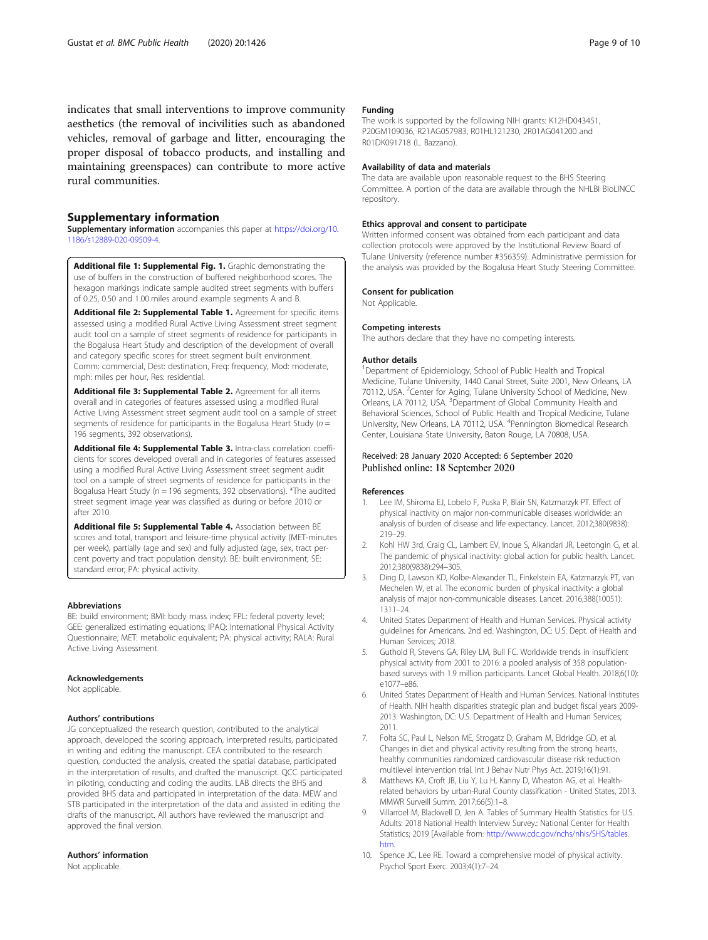<span id="page-8-0"></span>indicates that small interventions to improve community aesthetics (the removal of incivilities such as abandoned vehicles, removal of garbage and litter, encouraging the proper disposal of tobacco products, and installing and maintaining greenspaces) can contribute to more active rural communities.

#### Supplementary information

Supplementary information accompanies this paper at [https://doi.org/10.](https://doi.org/10.1186/s12889-020-09509-4) [1186/s12889-020-09509-4](https://doi.org/10.1186/s12889-020-09509-4).

Additional file 1: Supplemental Fig. 1. Graphic demonstrating the use of buffers in the construction of buffered neighborhood scores. The hexagon markings indicate sample audited street segments with buffers of 0.25, 0.50 and 1.00 miles around example segments A and B.

Additional file 2: Supplemental Table 1. Agreement for specific items assessed using a modified Rural Active Living Assessment street segment audit tool on a sample of street segments of residence for participants in the Bogalusa Heart Study and description of the development of overall and category specific scores for street segment built environment. Comm: commercial, Dest: destination, Freq: frequency, Mod: moderate, mph: miles per hour, Res: residential.

Additional file 3: Supplemental Table 2. Agreement for all items overall and in categories of features assessed using a modified Rural Active Living Assessment street segment audit tool on a sample of street segments of residence for participants in the Bogalusa Heart Study ( $n =$ 196 segments, 392 observations).

Additional file 4: Supplemental Table 3. Intra-class correlation coefficients for scores developed overall and in categories of features assessed using a modified Rural Active Living Assessment street segment audit tool on a sample of street segments of residence for participants in the Bogalusa Heart Study (n = 196 segments, 392 observations). \*The audited street segment image year was classified as during or before 2010 or after 2010.

Additional file 5: Supplemental Table 4. Association between BE scores and total, transport and leisure-time physical activity (MET-minutes per week), partially (age and sex) and fully adjusted (age, sex, tract percent poverty and tract population density). BE: built environment; SE: standard error; PA: physical activity.

#### Abbreviations

BE: build environment; BMI: body mass index; FPL: federal poverty level; GEE: generalized estimating equations; IPAQ: International Physical Activity Questionnaire; MET: metabolic equivalent; PA: physical activity; RALA: Rural Active Living Assessment

#### Acknowledgements

Not applicable.

#### Authors' contributions

JG conceptualized the research question, contributed to the analytical approach, developed the scoring approach, interpreted results, participated in writing and editing the manuscript. CEA contributed to the research question, conducted the analysis, created the spatial database, participated in the interpretation of results, and drafted the manuscript. QCC participated in piloting, conducting and coding the audits. LAB directs the BHS and provided BHS data and participated in interpretation of the data. MEW and STB participated in the interpretation of the data and assisted in editing the drafts of the manuscript. All authors have reviewed the manuscript and approved the final version.

#### Authors' information

Not applicable.

#### Funding

The work is supported by the following NIH grants: K12HD043451, P20GM109036, R21AG057983, R01HL121230, 2R01AG041200 and R01DK091718 (L. Bazzano).

#### Availability of data and materials

The data are available upon reasonable request to the BHS Steering Committee. A portion of the data are available through the NHLBI BioLINCC repository.

#### Ethics approval and consent to participate

Written informed consent was obtained from each participant and data collection protocols were approved by the Institutional Review Board of Tulane University (reference number #356359). Administrative permission for the analysis was provided by the Bogalusa Heart Study Steering Committee.

#### Consent for publication

Not Applicable.

#### Competing interests

The authors declare that they have no competing interests.

#### Author details

<sup>1</sup>Department of Epidemiology, School of Public Health and Tropical Medicine, Tulane University, 1440 Canal Street, Suite 2001, New Orleans, LA 70112, USA. <sup>2</sup> Center for Aging, Tulane University School of Medicine, New Orleans, LA 70112, USA. <sup>3</sup>Department of Global Community Health and Behavioral Sciences, School of Public Health and Tropical Medicine, Tulane University, New Orleans, LA 70112, USA. <sup>4</sup> Pennington Biomedical Research Center, Louisiana State University, Baton Rouge, LA 70808, USA.

#### Received: 28 January 2020 Accepted: 6 September 2020 Published online: 18 September 2020

#### References

- 1. Lee IM, Shiroma EJ, Lobelo F, Puska P, Blair SN, Katzmarzyk PT. Effect of physical inactivity on major non-communicable diseases worldwide: an analysis of burden of disease and life expectancy. Lancet. 2012;380(9838): 219–29.
- 2. Kohl HW 3rd, Craig CL, Lambert EV, Inoue S, Alkandari JR, Leetongin G, et al. The pandemic of physical inactivity: global action for public health. Lancet. 2012;380(9838):294–305.
- 3. Ding D, Lawson KD, Kolbe-Alexander TL, Finkelstein EA, Katzmarzyk PT, van Mechelen W, et al. The economic burden of physical inactivity: a global analysis of major non-communicable diseases. Lancet. 2016;388(10051): 1311–24.
- 4. United States Department of Health and Human Services. Physical activity guidelines for Americans. 2nd ed. Washington, DC: U.S. Dept. of Health and Human Services; 2018.
- 5. Guthold R, Stevens GA, Riley LM, Bull FC. Worldwide trends in insufficient physical activity from 2001 to 2016: a pooled analysis of 358 populationbased surveys with 1.9 million participants. Lancet Global Health. 2018;6(10): e1077–e86.
- 6. United States Department of Health and Human Services. National Institutes of Health. NIH health disparities strategic plan and budget fiscal years 2009- 2013. Washington, DC: U.S. Department of Health and Human Services; 2011.
- 7. Folta SC, Paul L, Nelson ME, Strogatz D, Graham M, Eldridge GD, et al. Changes in diet and physical activity resulting from the strong hearts, healthy communities randomized cardiovascular disease risk reduction multilevel intervention trial. Int J Behav Nutr Phys Act. 2019;16(1):91.
- 8. Matthews KA, Croft JB, Liu Y, Lu H, Kanny D, Wheaton AG, et al. Healthrelated behaviors by urban-Rural County classification - United States, 2013. MMWR Surveill Summ. 2017;66(5):1–8.
- 9. Villarroel M, Blackwell D, Jen A. Tables of Summary Health Statistics for U.S. Adults: 2018 National Health Interview Survey.: National Center for Health Statistics; 2019 [Available from: [http://www.cdc.gov/nchs/nhis/SHS/tables.](http://www.cdc.gov/nchs/nhis/SHS/tables.htm) [htm](http://www.cdc.gov/nchs/nhis/SHS/tables.htm).
- 10. Spence JC, Lee RE. Toward a comprehensive model of physical activity. Psychol Sport Exerc. 2003;4(1):7–24.